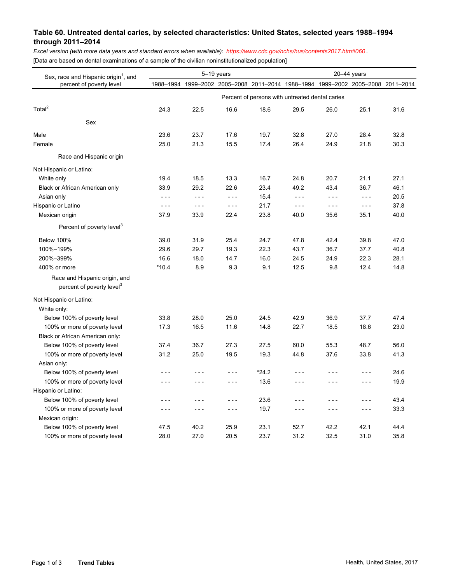## **Table 60. Untreated dental caries, by selected characteristics: United States, selected years 1988–1994 through 2011–2014**

*Excel version (with more data years and standard errors when available): <https://www.cdc.gov/nchs/hus/contents2017.htm#060>.*  [Data are based on dental examinations of a sample of the civilian noninstitutionalized population]

| Sex, race and Hispanic origin <sup>1</sup> , and<br>percent of poverty level | 5-19 years                                      |         |                                                                                 |         | $20 - 44$ years |         |                                                                                                                                                                                                                                                                                                                                                                                              |      |  |  |  |  |
|------------------------------------------------------------------------------|-------------------------------------------------|---------|---------------------------------------------------------------------------------|---------|-----------------|---------|----------------------------------------------------------------------------------------------------------------------------------------------------------------------------------------------------------------------------------------------------------------------------------------------------------------------------------------------------------------------------------------------|------|--|--|--|--|
|                                                                              |                                                 |         | 1988-1994 1999-2002 2005-2008 2011-2014 1988-1994 1999-2002 2005-2008 2011-2014 |         |                 |         |                                                                                                                                                                                                                                                                                                                                                                                              |      |  |  |  |  |
|                                                                              | Percent of persons with untreated dental caries |         |                                                                                 |         |                 |         |                                                                                                                                                                                                                                                                                                                                                                                              |      |  |  |  |  |
| Total <sup>2</sup>                                                           | 24.3                                            | 22.5    | 16.6                                                                            | 18.6    | 29.5            | 26.0    | 25.1                                                                                                                                                                                                                                                                                                                                                                                         | 31.6 |  |  |  |  |
| Sex                                                                          |                                                 |         |                                                                                 |         |                 |         |                                                                                                                                                                                                                                                                                                                                                                                              |      |  |  |  |  |
| Male                                                                         | 23.6                                            | 23.7    | 17.6                                                                            | 19.7    | 32.8            | 27.0    | 28.4                                                                                                                                                                                                                                                                                                                                                                                         | 32.8 |  |  |  |  |
| Female                                                                       | 25.0                                            | 21.3    | 15.5                                                                            | 17.4    | 26.4            | 24.9    | 21.8                                                                                                                                                                                                                                                                                                                                                                                         | 30.3 |  |  |  |  |
| Race and Hispanic origin                                                     |                                                 |         |                                                                                 |         |                 |         |                                                                                                                                                                                                                                                                                                                                                                                              |      |  |  |  |  |
| Not Hispanic or Latino:                                                      |                                                 |         |                                                                                 |         |                 |         |                                                                                                                                                                                                                                                                                                                                                                                              |      |  |  |  |  |
| White only                                                                   | 19.4                                            | 18.5    | 13.3                                                                            | 16.7    | 24.8            | 20.7    | 21.1                                                                                                                                                                                                                                                                                                                                                                                         | 27.1 |  |  |  |  |
| Black or African American only                                               | 33.9                                            | 29.2    | 22.6                                                                            | 23.4    | 49.2            | 43.4    | 36.7                                                                                                                                                                                                                                                                                                                                                                                         | 46.1 |  |  |  |  |
| Asian only                                                                   | $- - -$                                         | $- - -$ | $- - -$                                                                         | 15.4    | $- - -$         | $- - -$ | $\frac{1}{2} \frac{1}{2} \frac{1}{2} \frac{1}{2} \frac{1}{2} \frac{1}{2} \frac{1}{2} \frac{1}{2} \frac{1}{2} \frac{1}{2} \frac{1}{2} \frac{1}{2} \frac{1}{2} \frac{1}{2} \frac{1}{2} \frac{1}{2} \frac{1}{2} \frac{1}{2} \frac{1}{2} \frac{1}{2} \frac{1}{2} \frac{1}{2} \frac{1}{2} \frac{1}{2} \frac{1}{2} \frac{1}{2} \frac{1}{2} \frac{1}{2} \frac{1}{2} \frac{1}{2} \frac{1}{2} \frac{$ | 20.5 |  |  |  |  |
| Hispanic or Latino                                                           | $- - -$                                         | $- - -$ | $- - -$                                                                         | 21.7    | $- - -$         | $- - -$ | $- - -$                                                                                                                                                                                                                                                                                                                                                                                      | 37.8 |  |  |  |  |
| Mexican origin                                                               | 37.9                                            | 33.9    | 22.4                                                                            | 23.8    | 40.0            | 35.6    | 35.1                                                                                                                                                                                                                                                                                                                                                                                         | 40.0 |  |  |  |  |
| Percent of poverty level <sup>3</sup>                                        |                                                 |         |                                                                                 |         |                 |         |                                                                                                                                                                                                                                                                                                                                                                                              |      |  |  |  |  |
|                                                                              |                                                 |         |                                                                                 |         |                 |         |                                                                                                                                                                                                                                                                                                                                                                                              |      |  |  |  |  |
| <b>Below 100%</b>                                                            | 39.0                                            | 31.9    | 25.4                                                                            | 24.7    | 47.8            | 42.4    | 39.8                                                                                                                                                                                                                                                                                                                                                                                         | 47.0 |  |  |  |  |
| 100%-199%                                                                    | 29.6                                            | 29.7    | 19.3                                                                            | 22.3    | 43.7            | 36.7    | 37.7                                                                                                                                                                                                                                                                                                                                                                                         | 40.8 |  |  |  |  |
| 200%-399%                                                                    | 16.6                                            | 18.0    | 14.7                                                                            | 16.0    | 24.5            | 24.9    | 22.3                                                                                                                                                                                                                                                                                                                                                                                         | 28.1 |  |  |  |  |
| 400% or more                                                                 | $*10.4$                                         | 8.9     | 9.3                                                                             | 9.1     | 12.5            | 9.8     | 12.4                                                                                                                                                                                                                                                                                                                                                                                         | 14.8 |  |  |  |  |
| Race and Hispanic origin, and<br>percent of poverty level <sup>3</sup>       |                                                 |         |                                                                                 |         |                 |         |                                                                                                                                                                                                                                                                                                                                                                                              |      |  |  |  |  |
| Not Hispanic or Latino:                                                      |                                                 |         |                                                                                 |         |                 |         |                                                                                                                                                                                                                                                                                                                                                                                              |      |  |  |  |  |
| White only:                                                                  |                                                 |         |                                                                                 |         |                 |         |                                                                                                                                                                                                                                                                                                                                                                                              |      |  |  |  |  |
| Below 100% of poverty level                                                  | 33.8                                            | 28.0    | 25.0                                                                            | 24.5    | 42.9            | 36.9    | 37.7                                                                                                                                                                                                                                                                                                                                                                                         | 47.4 |  |  |  |  |
| 100% or more of poverty level                                                | 17.3                                            | 16.5    | 11.6                                                                            | 14.8    | 22.7            | 18.5    | 18.6                                                                                                                                                                                                                                                                                                                                                                                         | 23.0 |  |  |  |  |
| Black or African American only:                                              |                                                 |         |                                                                                 |         |                 |         |                                                                                                                                                                                                                                                                                                                                                                                              |      |  |  |  |  |
| Below 100% of poverty level                                                  | 37.4                                            | 36.7    | 27.3                                                                            | 27.5    | 60.0            | 55.3    | 48.7                                                                                                                                                                                                                                                                                                                                                                                         | 56.0 |  |  |  |  |
| 100% or more of poverty level                                                | 31.2                                            | 25.0    | 19.5                                                                            | 19.3    | 44.8            | 37.6    | 33.8                                                                                                                                                                                                                                                                                                                                                                                         | 41.3 |  |  |  |  |
| Asian only:                                                                  |                                                 |         |                                                                                 |         |                 |         |                                                                                                                                                                                                                                                                                                                                                                                              |      |  |  |  |  |
| Below 100% of poverty level                                                  | - - -                                           | - - -   | $- - -$                                                                         | $*24.2$ | $- - -$         | ---     | $- - -$                                                                                                                                                                                                                                                                                                                                                                                      | 24.6 |  |  |  |  |
| 100% or more of poverty level                                                | - - -                                           | $- - -$ | $- - -$                                                                         | 13.6    | $- - -$         | $- - -$ | $- - -$                                                                                                                                                                                                                                                                                                                                                                                      | 19.9 |  |  |  |  |
| Hispanic or Latino:                                                          |                                                 |         |                                                                                 |         |                 |         |                                                                                                                                                                                                                                                                                                                                                                                              |      |  |  |  |  |
| Below 100% of poverty level                                                  | - - -                                           | - - -   | $- - -$                                                                         | 23.6    | - - -           | - - -   | $- - -$                                                                                                                                                                                                                                                                                                                                                                                      | 43.4 |  |  |  |  |
| 100% or more of poverty level                                                | $- - -$                                         | $- - -$ | $- - -$                                                                         | 19.7    | $- - -$         | $- - -$ | $- - -$                                                                                                                                                                                                                                                                                                                                                                                      | 33.3 |  |  |  |  |
| Mexican origin:                                                              |                                                 |         |                                                                                 |         |                 |         |                                                                                                                                                                                                                                                                                                                                                                                              |      |  |  |  |  |
| Below 100% of poverty level                                                  | 47.5                                            | 40.2    | 25.9                                                                            | 23.1    | 52.7            | 42.2    | 42.1                                                                                                                                                                                                                                                                                                                                                                                         | 44.4 |  |  |  |  |
| 100% or more of poverty level                                                | 28.0                                            | 27.0    | 20.5                                                                            | 23.7    | 31.2            | 32.5    | 31.0                                                                                                                                                                                                                                                                                                                                                                                         | 35.8 |  |  |  |  |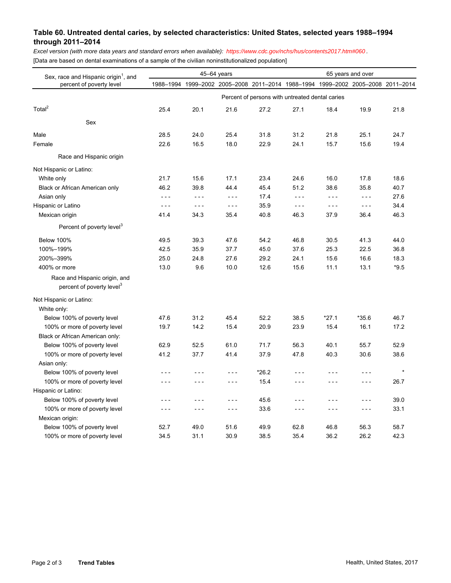## **Table 60. Untreated dental caries, by selected characteristics: United States, selected years 1988–1994 through 2011–2014**

*Excel version (with more data years and standard errors when available): <https://www.cdc.gov/nchs/hus/contents2017.htm#060>.*  [Data are based on dental examinations of a sample of the civilian noninstitutionalized population]

| Sex, race and Hispanic origin <sup>1</sup> , and<br>percent of poverty level | 45-64 years                                     |         |                                                                                 |       | 65 years and over |         |         |         |  |  |  |
|------------------------------------------------------------------------------|-------------------------------------------------|---------|---------------------------------------------------------------------------------|-------|-------------------|---------|---------|---------|--|--|--|
|                                                                              |                                                 |         | 1988-1994 1999-2002 2005-2008 2011-2014 1988-1994 1999-2002 2005-2008 2011-2014 |       |                   |         |         |         |  |  |  |
|                                                                              | Percent of persons with untreated dental caries |         |                                                                                 |       |                   |         |         |         |  |  |  |
| Total <sup>2</sup>                                                           | 25.4                                            | 20.1    | 21.6                                                                            | 27.2  | 27.1              | 18.4    | 19.9    | 21.8    |  |  |  |
| Sex                                                                          |                                                 |         |                                                                                 |       |                   |         |         |         |  |  |  |
| Male                                                                         | 28.5                                            | 24.0    | 25.4                                                                            | 31.8  | 31.2              | 21.8    | 25.1    | 24.7    |  |  |  |
| Female                                                                       | 22.6                                            | 16.5    | 18.0                                                                            | 22.9  | 24.1              | 15.7    | 15.6    | 19.4    |  |  |  |
| Race and Hispanic origin                                                     |                                                 |         |                                                                                 |       |                   |         |         |         |  |  |  |
| Not Hispanic or Latino:                                                      |                                                 |         |                                                                                 |       |                   |         |         |         |  |  |  |
| White only                                                                   | 21.7                                            | 15.6    | 17.1                                                                            | 23.4  | 24.6              | 16.0    | 17.8    | 18.6    |  |  |  |
| Black or African American only                                               | 46.2                                            | 39.8    | 44.4                                                                            | 45.4  | 51.2              | 38.6    | 35.8    | 40.7    |  |  |  |
| Asian only                                                                   | $- - -$                                         | $- - -$ | $- - -$                                                                         | 17.4  | $- - -$           | $- - -$ | $- - -$ | 27.6    |  |  |  |
| Hispanic or Latino                                                           | $- - -$                                         | $- - -$ | $- - -$                                                                         | 35.9  | $- - -$           | $- - -$ | $- - -$ | 34.4    |  |  |  |
| Mexican origin                                                               | 41.4                                            | 34.3    | 35.4                                                                            | 40.8  | 46.3              | 37.9    | 36.4    | 46.3    |  |  |  |
| Percent of poverty level <sup>3</sup>                                        |                                                 |         |                                                                                 |       |                   |         |         |         |  |  |  |
| <b>Below 100%</b>                                                            | 49.5                                            | 39.3    | 47.6                                                                            | 54.2  | 46.8              | 30.5    | 41.3    | 44.0    |  |  |  |
| 100%-199%                                                                    | 42.5                                            | 35.9    | 37.7                                                                            | 45.0  | 37.6              | 25.3    | 22.5    | 36.8    |  |  |  |
| 200%-399%                                                                    | 25.0                                            | 24.8    | 27.6                                                                            | 29.2  | 24.1              | 15.6    | 16.6    | 18.3    |  |  |  |
| 400% or more                                                                 | 13.0                                            | 9.6     | 10.0                                                                            | 12.6  | 15.6              | 11.1    | 13.1    | $*9.5$  |  |  |  |
| Race and Hispanic origin, and<br>percent of poverty level <sup>3</sup>       |                                                 |         |                                                                                 |       |                   |         |         |         |  |  |  |
| Not Hispanic or Latino:                                                      |                                                 |         |                                                                                 |       |                   |         |         |         |  |  |  |
| White only:                                                                  |                                                 |         |                                                                                 |       |                   |         |         |         |  |  |  |
| Below 100% of poverty level                                                  | 47.6                                            | 31.2    | 45.4                                                                            | 52.2  | 38.5              | $*27.1$ | $*35.6$ | 46.7    |  |  |  |
| 100% or more of poverty level                                                | 19.7                                            | 14.2    | 15.4                                                                            | 20.9  | 23.9              | 15.4    | 16.1    | 17.2    |  |  |  |
| Black or African American only:                                              |                                                 |         |                                                                                 |       |                   |         |         |         |  |  |  |
| Below 100% of poverty level                                                  | 62.9                                            | 52.5    | 61.0                                                                            | 71.7  | 56.3              | 40.1    | 55.7    | 52.9    |  |  |  |
| 100% or more of poverty level                                                | 41.2                                            | 37.7    | 41.4                                                                            | 37.9  | 47.8              | 40.3    | 30.6    | 38.6    |  |  |  |
| Asian only:                                                                  |                                                 |         |                                                                                 |       |                   |         |         |         |  |  |  |
| Below 100% of poverty level                                                  | $- - -$                                         | $- - -$ | - - -                                                                           | *26.2 | - - -             | - - -   | $- - -$ | $\star$ |  |  |  |
| 100% or more of poverty level                                                | $- - -$                                         | $- - -$ | $- - -$                                                                         | 15.4  | $- - -$           | $- - -$ | $- - -$ | 26.7    |  |  |  |
| Hispanic or Latino:                                                          |                                                 |         |                                                                                 |       |                   |         |         |         |  |  |  |
| Below 100% of poverty level                                                  | - - -                                           | $- - -$ | - - -                                                                           | 45.6  | - - -             | - - -   | $- - -$ | 39.0    |  |  |  |
| 100% or more of poverty level                                                | $- - -$                                         | $- - -$ | $- - -$                                                                         | 33.6  | ---               | $- - -$ | $- - -$ | 33.1    |  |  |  |
| Mexican origin:                                                              |                                                 |         |                                                                                 |       |                   |         |         |         |  |  |  |
| Below 100% of poverty level                                                  | 52.7                                            | 49.0    | 51.6                                                                            | 49.9  | 62.8              | 46.8    | 56.3    | 58.7    |  |  |  |
| 100% or more of poverty level                                                | 34.5                                            | 31.1    | 30.9                                                                            | 38.5  | 35.4              | 36.2    | 26.2    | 42.3    |  |  |  |